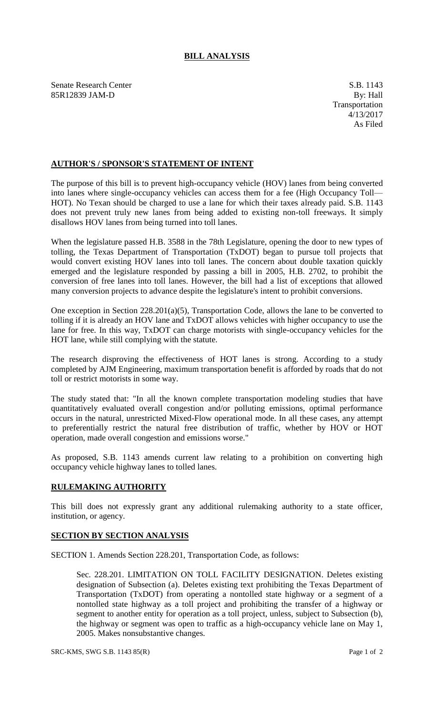## **BILL ANALYSIS**

Senate Research Center S.B. 1143 85R12839 JAM-D By: Hall

## **AUTHOR'S / SPONSOR'S STATEMENT OF INTENT**

The purpose of this bill is to prevent high-occupancy vehicle (HOV) lanes from being converted into lanes where single-occupancy vehicles can access them for a fee (High Occupancy Toll— HOT). No Texan should be charged to use a lane for which their taxes already paid. S.B. 1143 does not prevent truly new lanes from being added to existing non-toll freeways. It simply disallows HOV lanes from being turned into toll lanes.

When the legislature passed H.B. 3588 in the 78th Legislature, opening the door to new types of tolling, the Texas Department of Transportation (TxDOT) began to pursue toll projects that would convert existing HOV lanes into toll lanes. The concern about double taxation quickly emerged and the legislature responded by passing a bill in 2005, H.B. 2702, to prohibit the conversion of free lanes into toll lanes. However, the bill had a list of exceptions that allowed many conversion projects to advance despite the legislature's intent to prohibit conversions.

One exception in Section 228.201(a)(5), Transportation Code, allows the lane to be converted to tolling if it is already an HOV lane and TxDOT allows vehicles with higher occupancy to use the lane for free. In this way, TxDOT can charge motorists with single-occupancy vehicles for the HOT lane, while still complying with the statute.

The research disproving the effectiveness of HOT lanes is strong. According to a study completed by AJM Engineering, maximum transportation benefit is afforded by roads that do not toll or restrict motorists in some way.

The study stated that: "In all the known complete transportation modeling studies that have quantitatively evaluated overall congestion and/or polluting emissions, optimal performance occurs in the natural, unrestricted Mixed-Flow operational mode. In all these cases, any attempt to preferentially restrict the natural free distribution of traffic, whether by HOV or HOT operation, made overall congestion and emissions worse."

As proposed, S.B. 1143 amends current law relating to a prohibition on converting high occupancy vehicle highway lanes to tolled lanes.

## **RULEMAKING AUTHORITY**

This bill does not expressly grant any additional rulemaking authority to a state officer, institution, or agency.

## **SECTION BY SECTION ANALYSIS**

SECTION 1. Amends Section 228.201, Transportation Code, as follows:

Sec. 228.201. LIMITATION ON TOLL FACILITY DESIGNATION. Deletes existing designation of Subsection (a). Deletes existing text prohibiting the Texas Department of Transportation (TxDOT) from operating a nontolled state highway or a segment of a nontolled state highway as a toll project and prohibiting the transfer of a highway or segment to another entity for operation as a toll project, unless, subject to Subsection (b), the highway or segment was open to traffic as a high-occupancy vehicle lane on May 1, 2005. Makes nonsubstantive changes.